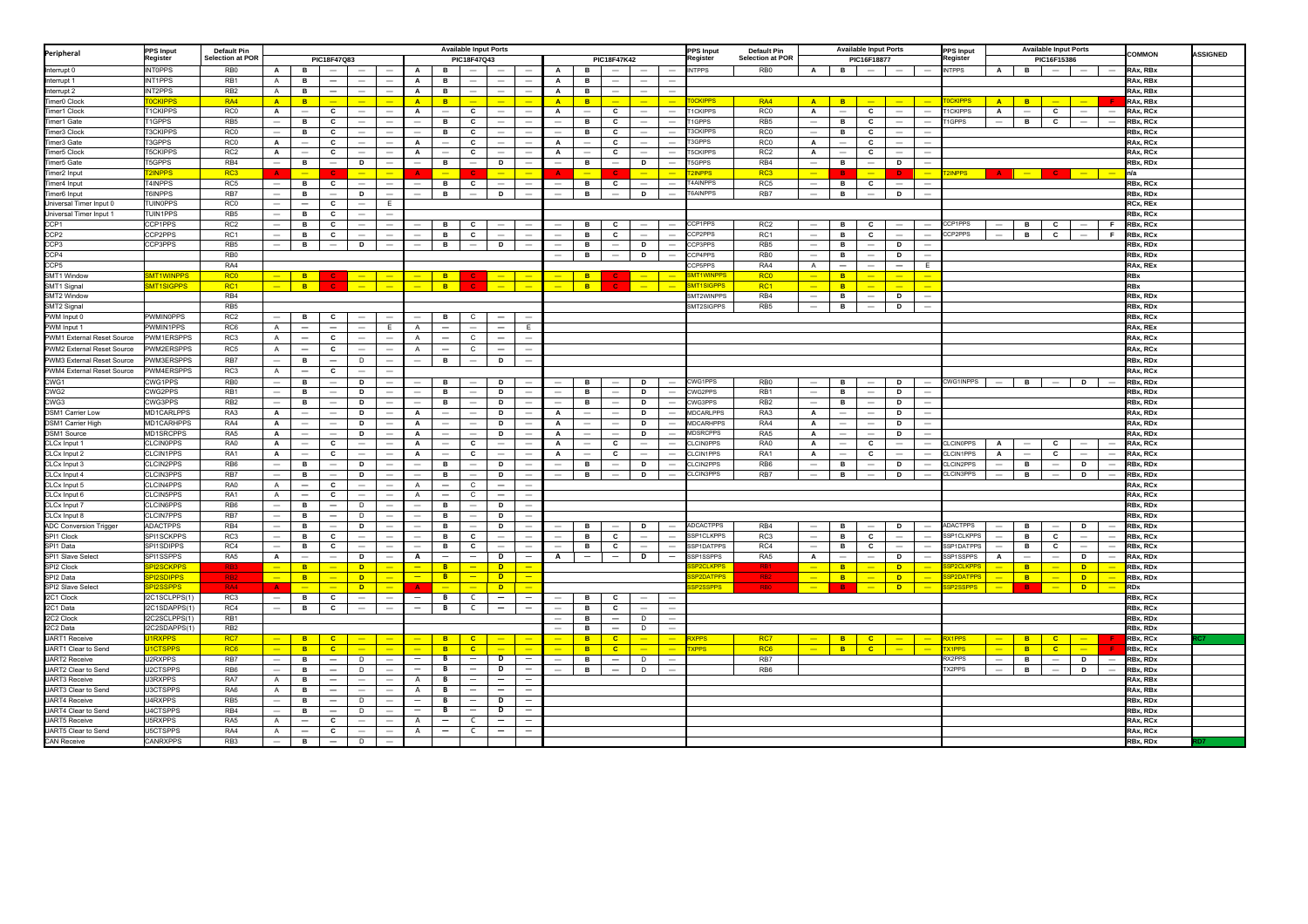| Peripheral                              | <b>PPS Input</b>               | <b>Default Pin</b>                     | <b>Available Input Ports</b><br><b>PPS Input</b><br>tegister |                                                                                 |                                                      |                                                                    |                                                      |                                |                          |                                                      |                                                      |                                                             |                               | Default Pin                     |                                                      | <b>Available Input Ports</b>         |                                                                           |                             |                                        |                                                      | <b>Available Input Ports</b><br><b>PPS Input</b> |                                                      |                                                             |                                    | <b>COMMON</b>                  | <b>ASSIGNED</b>                               |                          |                                                      |                          |                          |                        |  |
|-----------------------------------------|--------------------------------|----------------------------------------|--------------------------------------------------------------|---------------------------------------------------------------------------------|------------------------------------------------------|--------------------------------------------------------------------|------------------------------------------------------|--------------------------------|--------------------------|------------------------------------------------------|------------------------------------------------------|-------------------------------------------------------------|-------------------------------|---------------------------------|------------------------------------------------------|--------------------------------------|---------------------------------------------------------------------------|-----------------------------|----------------------------------------|------------------------------------------------------|--------------------------------------------------|------------------------------------------------------|-------------------------------------------------------------|------------------------------------|--------------------------------|-----------------------------------------------|--------------------------|------------------------------------------------------|--------------------------|--------------------------|------------------------|--|
|                                         | Register                       | <b>Selection at POF</b><br>PIC18F47Q83 |                                                              |                                                                                 |                                                      |                                                                    |                                                      | PIC18F47Q43                    |                          |                                                      |                                                      |                                                             |                               | PIC18F47K42                     |                                                      |                                      |                                                                           |                             | <b>Selection at POR</b><br>PIC16F18877 |                                                      |                                                  |                                                      |                                                             | egister                            | PIC16F15386                    |                                               |                          |                                                      |                          |                          |                        |  |
| nterrupt 0                              | <b>INTOPPS</b>                 | RB <sub>0</sub>                        | $\mathsf{A}$                                                 | в                                                                               | $\overline{\phantom{0}}$                             |                                                                    | $\overline{\phantom{m}}$                             | A                              | в                        | $\overline{\phantom{a}}$                             | $\equiv$                                             | $\overline{\phantom{a}}$                                    | A                             | в                               | $\overline{\phantom{a}}$                             |                                      | $\equiv$                                                                  | <b>NTPPS</b>                | RB <sub>0</sub>                        | $\overline{A}$                                       | В.                                               | $\overline{\phantom{0}}$                             |                                                             |                                    | <b>INTPPS</b>                  | $\mathsf{A}$                                  | <b>B</b>                 | $\hspace{0.1mm}-\hspace{0.1mm}$                      | $-$                      | $\overline{\phantom{a}}$ | RAx, RBx               |  |
| Interrupt 1                             | INT1PPS                        | RB1                                    | $\mathsf{A}$                                                 | в                                                                               | $\overline{\phantom{m}}$                             | $\qquad \qquad -$                                                  | $\overline{\phantom{m}}$                             | $\mathbf{A}$                   | в                        | $\overline{\phantom{0}}$<br>$\sim$                   | $\overline{\phantom{m}}$<br>$\sim$                   | $\overline{\phantom{m}}$                                    | A                             | в                               | $\overline{\phantom{m}}$                             | $\overline{\phantom{m}}$             | $\overline{\phantom{a}}$                                                  |                             |                                        |                                                      |                                                  |                                                      |                                                             |                                    |                                |                                               |                          |                                                      |                          |                          | RAx, RBx               |  |
| Interrupt 2<br>Timer <sub>0</sub> Clock | INT2PPS<br><b>OCKIPPS</b>      | RB <sub>2</sub><br>RA4                 | $\mathsf{A}$<br>$\mathbf{A}$                                 | B<br><b>B</b>                                                                   | $\overline{\phantom{m}}$<br>-                        | $\sim$<br>$\equiv$                                                 | $\equiv$<br>$\overline{\phantom{a}}$                 | $\mathbf{A}$<br>$\overline{A}$ | в<br><b>B</b>            | $-$                                                  | $\equiv$                                             | $\overline{\phantom{a}}$<br>$\equiv$                        | A<br>A                        | в                               | $\sim$<br>$\equiv$                                   | $\sim$<br>$\equiv$                   | $\equiv$<br>$\equiv$                                                      | CKIPPS                      | RA4                                    | A                                                    | <b>B</b>                                         | $\equiv$                                             | $\sim$                                                      | $\equiv$                           | <b>CKIPPS</b>                  | A                                             | <b>B</b>                 | $-$                                                  | $\overline{\phantom{a}}$ |                          | RAx, RBx               |  |
| Timer1 Clock                            | 1CKIPPS                        | RC <sub>0</sub>                        | $\mathsf{A}$                                                 |                                                                                 | c                                                    |                                                                    | $\overline{\phantom{a}}$                             | $\mathbf{A}$                   | $\qquad \qquad -$        | C                                                    |                                                      |                                                             | A                             | B<br>$\overline{\phantom{m}}$   | c                                                    |                                      |                                                                           | <b>CKIPPS</b>               | RC0                                    | $\mathbf{A}$                                         | $\overline{\phantom{m}}$                         | c                                                    |                                                             |                                    | <b>CKIPPS</b>                  | $\mathsf{A}$                                  | $\qquad \qquad -$        | $\mathbf{c}$                                         | $\overline{\phantom{0}}$ | $\overline{\phantom{m}}$ | RAx, RBx<br>RAx, RCx   |  |
| Timer1 Gate                             | 1GPPS                          | RB <sub>5</sub>                        |                                                              | $\hspace{1.0cm} \rule{1.5cm}{0.15cm} \hspace{1.0cm} \rule{1.5cm}{0.15cm}$<br>в. | C                                                    | $\hspace{0.1mm}-\hspace{0.1mm}$<br>$\hspace{0.1mm}-\hspace{0.1mm}$ | $\overline{\phantom{m}}$                             |                                | в                        | C                                                    | $\qquad \qquad$                                      | $\hspace{0.1mm}-\hspace{0.1mm}$<br>$\overline{\phantom{a}}$ | $\overline{\phantom{0}}$      | в                               | C                                                    | -<br>$\hspace{0.1mm}-\hspace{0.1mm}$ | $\hspace{1.0cm} \rule{1.5cm}{0.15cm} \hspace{1.0cm} \rule{1.5cm}{0.15cm}$ | 1GPPS                       | RB <sub>5</sub>                        | $\overline{\phantom{m}}$                             | в                                                | c                                                    | $\hspace{0.1mm}-\hspace{0.1mm}$<br>$\overline{\phantom{m}}$ | -<br>$\overline{\phantom{0}}$      | <b>GPPS</b>                    | $\overline{\phantom{a}}$                      | в                        | $\mathbf{c}$                                         | $\overline{\phantom{m}}$ | $\overline{\phantom{a}}$ | RBx, RCx               |  |
| Timer3 Clock                            | <b>T3CKIPPS</b>                | <b>RC0</b>                             | $\overline{\phantom{0}}$                                     | в                                                                               | c                                                    | $\overline{\phantom{m}}$                                           | $\overline{\phantom{0}}$                             | $\equiv$                       | в                        | C                                                    | $\overline{\phantom{0}}$                             | $\overline{\phantom{a}}$                                    | $\overline{\phantom{0}}$      | в                               | c                                                    |                                      | $\overline{\phantom{a}}$                                                  | <b>3CKIPPS</b>              | RC <sub>0</sub>                        | $\overline{\phantom{m}}$                             | в                                                | c                                                    | $\overline{\phantom{a}}$                                    | $\overline{\phantom{a}}$           |                                |                                               |                          |                                                      |                          |                          | RBx, RCx               |  |
| Timer3 Gate                             | T3GPPS                         | RC <sub>0</sub>                        | $\mathbf{A}$                                                 |                                                                                 | $\mathbf c$                                          | $\overline{\phantom{m}}$                                           | $\overline{\phantom{0}}$                             | $\overline{A}$                 | $\overline{\phantom{0}}$ | $\mathbf c$                                          | $\overline{\phantom{0}}$                             | $\overline{\phantom{a}}$                                    | $\mathbf{A}$                  |                                 | $\mathbf c$                                          |                                      | $\overline{\phantom{0}}$                                                  | 3GPPS                       | RC <sub>0</sub>                        | $\mathbf{A}$                                         | $\overline{\phantom{a}}$                         | c                                                    | $\qquad \qquad -$                                           | $\overline{\phantom{0}}$           |                                |                                               |                          |                                                      |                          |                          | RAx, RCx               |  |
| Timer5 Clock                            | <b>T5CKIPPS</b>                | RC <sub>2</sub>                        | $\mathbf{A}$                                                 | $\overline{\phantom{a}}$                                                        | $\mathbf c$                                          | $\overline{\phantom{a}}$                                           | $\equiv$                                             | $\mathbf{A}$                   | $\overline{\phantom{0}}$ | $\mathbf c$                                          | $\overline{\phantom{a}}$                             | $\equiv$                                                    | A                             | $\overline{\phantom{a}}$        | c                                                    | $\hspace{0.1mm}-\hspace{0.1mm}$      | $\overline{\phantom{a}}$                                                  | <b>5CKIPPS</b>              | RC <sub>2</sub>                        | A                                                    | $\overline{\phantom{a}}$                         | $\mathbf c$                                          | $\overline{\phantom{a}}$                                    | $\overline{\phantom{m}}$           |                                |                                               |                          |                                                      |                          |                          | RAx, RCx               |  |
| imer5 Gate                              | <b>T5GPPS</b>                  | RB4                                    | $\overline{\phantom{0}}$                                     | в                                                                               |                                                      | D                                                                  | $\equiv$                                             | $\overline{\phantom{0}}$       | в.                       | $\overline{\phantom{0}}$                             | D                                                    | $\overline{\phantom{a}}$                                    | $-$                           | в                               | $\overline{\phantom{a}}$                             | D                                    | $\overline{\phantom{a}}$                                                  | 5GPPS                       | RB4                                    | $\overline{\phantom{a}}$                             | в                                                | $\overline{\phantom{a}}$                             | D                                                           |                                    |                                |                                               |                          |                                                      |                          |                          | RBx, RDx               |  |
| Timer2 Input                            | 2INPPS                         | RC <sub>3</sub>                        | <b>A</b>                                                     | $\overline{\phantom{0}}$                                                        |                                                      | -                                                                  |                                                      |                                | -                        |                                                      | -                                                    | ٠                                                           |                               | $\overline{\phantom{0}}$        |                                                      | -                                    | ÷                                                                         | <b>NPPS</b>                 | RC <sub>3</sub>                        | $\overline{\phantom{0}}$                             | в.                                               | $\overline{\phantom{0}}$                             | $\mathbf{D}$                                                | $\overline{\phantom{a}}$           | <b>INPPS</b>                   | <b>Δ</b>                                      |                          |                                                      | $-$                      |                          | n/a                    |  |
| 'imer4 Input                            | 4INPPS                         | RC5                                    | $\qquad \qquad -$                                            | в                                                                               | $\mathbf{c}$                                         | $\hspace{0.1mm}-\hspace{0.1mm}$                                    | $\overline{\phantom{m}}$                             | $\overline{\phantom{0}}$       | в                        | $\mathbf{c}$                                         | $\overline{\phantom{a}}$                             | $\sim$                                                      | $-$                           | в                               | c                                                    | $\overline{\phantom{m}}$             |                                                                           | 4AINPPS                     | RC5                                    | $\qquad \qquad -$                                    | $\mathbf{B}$                                     | $\mathbf{c}$                                         |                                                             | $\overline{\phantom{m}}$           |                                |                                               |                          |                                                      |                          |                          | RBx, RCx               |  |
| imer6 Input                             | T6INPPS                        | RB7                                    | $\overline{\phantom{m}}$                                     | в                                                                               | $\overline{\phantom{0}}$                             | D                                                                  | $\overline{\phantom{0}}$                             | $\overline{\phantom{0}}$       | в.                       | $\overline{\phantom{m}}$                             | D                                                    | $\equiv$                                                    | $-$                           | в                               | $\overline{\phantom{m}}$                             | D                                    | $\overline{\phantom{a}}$                                                  | 6AINPPS                     | RB7                                    | $\overline{\phantom{m}}$                             | В.                                               | $\overline{\phantom{a}}$                             | D                                                           | $\equiv$                           |                                |                                               |                          |                                                      |                          |                          | RBx, RDx               |  |
| <b>Jniversal Timer Input 0</b>          | <b>UINOPPS</b>                 | RC <sub>0</sub>                        | $\overline{\phantom{a}}$                                     | $\equiv$                                                                        | $\mathbf{c}$                                         | $\overline{\phantom{0}}$                                           | E                                                    |                                |                          |                                                      |                                                      |                                                             |                               |                                 |                                                      |                                      |                                                                           |                             |                                        |                                                      |                                                  |                                                      |                                                             |                                    |                                |                                               |                          |                                                      |                          |                          | RCx. REx               |  |
| Universal Timer Input 1                 | <b>TUIN1PPS</b>                | RB <sub>5</sub>                        | $\overline{\phantom{a}}$                                     | в.                                                                              | c                                                    | $\hspace{0.1mm}-\hspace{0.1mm}$                                    | $\overline{\phantom{a}}$                             |                                |                          |                                                      |                                                      |                                                             |                               |                                 |                                                      |                                      |                                                                           |                             |                                        |                                                      |                                                  |                                                      |                                                             |                                    |                                |                                               |                          |                                                      |                          |                          | RBx, RCx               |  |
| CCP1                                    | CCP1PPS                        | RC <sub>2</sub>                        |                                                              | в                                                                               | c                                                    | $\qquad \qquad -$                                                  | $\overline{\phantom{0}}$                             |                                | в                        | C                                                    | $\overline{\phantom{0}}$                             |                                                             |                               | в                               | C                                                    |                                      |                                                                           | CCP1PPS                     | RC <sub>2</sub>                        |                                                      | в                                                | C                                                    |                                                             |                                    | CCP1PPS                        |                                               | в                        | $\mathbf{c}$                                         | $ \,$                    | F.                       | RBx, RCx               |  |
| CCP <sub>2</sub>                        | CCP2PPS                        | RC1                                    |                                                              | в                                                                               | c                                                    | $\overline{\phantom{0}}$                                           | $\overline{\phantom{0}}$                             |                                | в                        | $\mathbf{c}$                                         | $\overline{\phantom{0}}$                             | $\overline{\phantom{a}}$                                    | -                             | в                               | $\mathbf{c}$                                         |                                      |                                                                           | CP2PPS                      | RC1                                    | $\overline{\phantom{m}}$                             | B                                                | c                                                    |                                                             |                                    | CP2PPS                         | $\overline{\phantom{m}}$                      | в                        | $\mathbf{c}$                                         | $\overline{\phantom{m}}$ | F.                       | RBx, RCx               |  |
| CCP <sub>3</sub><br>CCP4                | CCP3PPS                        | RB <sub>5</sub>                        | $\overline{\phantom{0}}$                                     | в                                                                               | $\overline{\phantom{a}}$                             | D                                                                  | $\equiv$                                             | $\equiv$                       | $\mathbf{B}$             |                                                      | $\overline{D}$                                       | $\sim$                                                      | $\overline{\phantom{0}}$      | в                               | $\overline{\phantom{0}}$                             | D                                    | $\overline{\phantom{a}}$                                                  | CP3PPS<br>CP4PPS            | RB <sub>5</sub>                        | $\overline{\phantom{m}}$                             | в                                                | $\overline{\phantom{a}}$                             | D                                                           | $\overline{\phantom{a}}$           |                                |                                               |                          |                                                      |                          |                          | RBx, RDx               |  |
| CCP <sub>5</sub>                        |                                | RB <sub>0</sub><br>RA4                 |                                                              |                                                                                 |                                                      |                                                                    |                                                      |                                |                          |                                                      |                                                      |                                                             | -                             | в                               | $\overline{\phantom{0}}$                             | D                                    | $\overline{\phantom{a}}$                                                  | CP5PPS                      | RB <sub>0</sub><br>RA4                 | $\overline{\phantom{a}}$<br>$\mathsf{A}$             | в                                                | $\overline{\phantom{m}}$<br>$\overline{\phantom{a}}$ | D                                                           | E                                  |                                |                                               |                          |                                                      |                          |                          | RBx, RDx<br>RAx, REx   |  |
| SMT1 Window                             | SMT1WINPPS                     | <b>RC0</b>                             |                                                              | B.                                                                              |                                                      |                                                                    |                                                      |                                | <b>B</b>                 |                                                      | $\overline{\phantom{0}}$                             | ٠                                                           |                               | B.                              |                                                      |                                      |                                                                           | MT1WINPPS                   | <b>RC0</b>                             | $\equiv$                                             | B                                                | $\overline{\phantom{a}}$                             | $\overline{\phantom{a}}$                                    | $\overline{\phantom{0}}$           |                                |                                               |                          |                                                      |                          |                          | <b>RB</b> <sub>x</sub> |  |
| SMT1 Signal                             | SMT1SIGPPS                     | RC <sub>1</sub>                        | ÷                                                            | <b>B</b>                                                                        |                                                      |                                                                    |                                                      |                                | <b>B</b>                 |                                                      | $\overline{\phantom{0}}$                             |                                                             |                               | B.                              |                                                      |                                      |                                                                           | MT1SIGPPS                   | RC <sub>1</sub>                        | $\equiv$                                             | <b>B</b>                                         | $\overline{\phantom{a}}$                             | $-$                                                         | $\equiv$                           |                                |                                               |                          |                                                      |                          |                          | <b>RBx</b>             |  |
| SMT2 Window                             |                                | RB4                                    |                                                              |                                                                                 |                                                      |                                                                    |                                                      |                                |                          |                                                      |                                                      |                                                             |                               |                                 |                                                      |                                      |                                                                           | MT2WINPPS                   | RB4                                    | $\overline{\phantom{a}}$                             | B                                                | -                                                    | D                                                           | -                                  |                                |                                               |                          |                                                      |                          |                          | RBx, RDx               |  |
| SMT2 Signal                             |                                | R <sub>R</sub> <sub>5</sub>            |                                                              |                                                                                 |                                                      |                                                                    |                                                      |                                |                          |                                                      |                                                      |                                                             |                               |                                 |                                                      |                                      |                                                                           | MT2SIGPPS                   | RB <sub>5</sub>                        | $\overline{\phantom{a}}$                             | в                                                | $\hspace{0.1mm}-\hspace{0.1mm}$                      | D                                                           | $\overline{\phantom{a}}$           |                                |                                               |                          |                                                      |                          |                          | RBx. RDx               |  |
| PWM Input 0                             | <b>PWMIN0PPS</b>               | RC <sub>2</sub>                        |                                                              | в                                                                               | C                                                    | $\overline{\phantom{0}}$                                           |                                                      |                                | в                        | $\mathsf{C}$                                         | $\overline{\phantom{0}}$                             |                                                             |                               |                                 |                                                      |                                      |                                                                           |                             |                                        |                                                      |                                                  |                                                      |                                                             |                                    |                                |                                               |                          |                                                      |                          |                          | RBx, RCx               |  |
| PWM Input 1                             | PWMIN1PPS                      | RC <sub>6</sub>                        | $\mathsf{A}$                                                 | $\overline{\phantom{0}}$                                                        | $\overline{\phantom{0}}$                             | $\overline{\phantom{m}}$                                           | E                                                    | $\mathsf{A}$                   | $\overline{\phantom{0}}$ | $\overline{\phantom{0}}$                             | $\overline{\phantom{m}}$                             | E                                                           |                               |                                 |                                                      |                                      |                                                                           |                             |                                        |                                                      |                                                  |                                                      |                                                             |                                    |                                |                                               |                          |                                                      |                          |                          | RAx, REx               |  |
| PWM1 External Reset Source              | PWM1ERSPPS                     | RC <sub>3</sub>                        | $\mathsf{A}$                                                 | $\equiv$                                                                        | $\mathbf{c}$                                         | $\sim$                                                             | $\sim$                                               | $\mathsf{A}$                   | $\sim$                   | $\overline{c}$                                       | $\overline{\phantom{a}}$                             | $\sim$                                                      |                               |                                 |                                                      |                                      |                                                                           |                             |                                        |                                                      |                                                  |                                                      |                                                             |                                    |                                |                                               |                          |                                                      |                          |                          | RAx, RCx               |  |
| WM2 External Reset Source               | <b>WM2ERSPPS</b>               | RC5                                    | A                                                            |                                                                                 | C                                                    | $\hspace{0.1mm}-\hspace{0.1mm}$                                    | $\overline{\phantom{m}}$                             | A                              | $\overline{\phantom{0}}$ | $\mathsf{C}$                                         | $\overline{\phantom{0}}$                             | $\sim$                                                      |                               |                                 |                                                      |                                      |                                                                           |                             |                                        |                                                      |                                                  |                                                      |                                                             |                                    |                                |                                               |                          |                                                      |                          |                          | RAx, RCx               |  |
| PWM3 External Reset Source              | PWM3ERSPPS                     | RB7                                    | $\overline{\phantom{0}}$                                     | в                                                                               | $\overline{\phantom{m}}$                             | D                                                                  | $\overline{\phantom{0}}$                             | $\overline{\phantom{0}}$       | в                        | $\overline{\phantom{a}}$                             | D                                                    | $\overline{\phantom{a}}$                                    |                               |                                 |                                                      |                                      |                                                                           |                             |                                        |                                                      |                                                  |                                                      |                                                             |                                    |                                |                                               |                          |                                                      |                          |                          | RBx, RDx               |  |
| PWM4 External Reset Source              | PWM4ERSPPS                     | RC <sub>3</sub>                        | $\mathsf{A}$                                                 |                                                                                 | $\mathbf c$                                          | $\sim$                                                             | $\equiv$                                             |                                |                          |                                                      |                                                      |                                                             |                               |                                 |                                                      |                                      |                                                                           |                             |                                        |                                                      |                                                  |                                                      |                                                             |                                    |                                |                                               |                          |                                                      |                          |                          | RAx, RCx               |  |
| CWG1                                    | <b>CWG1PPS</b>                 | RB <sub>0</sub>                        |                                                              | в                                                                               | $\overline{\phantom{0}}$                             | D                                                                  | $\overline{\phantom{m}}$                             | -                              | в                        | $\hspace{0.1mm}-\hspace{0.1mm}$                      | D                                                    | $\hspace{0.1mm}-\hspace{0.1mm}$                             | -                             | <b>B</b>                        | $\overline{\phantom{m}}$                             | D                                    |                                                                           | WG1PPS                      | R <sub>B0</sub>                        | $\overline{\phantom{a}}$                             | в                                                | $\overline{\phantom{m}}$                             | D                                                           | $\overline{\phantom{0}}$           | WG1INPPS                       | $\sim$                                        | <b>B</b>                 | $\hspace{0.1mm}$                                     | D                        |                          | RBx, RDx               |  |
| CWG <sub>2</sub>                        | CWG2PPS                        | RB1                                    | $\overline{\phantom{a}}$                                     | в                                                                               | $\overline{\phantom{0}}$                             | D                                                                  | $\equiv$                                             | $\overline{\phantom{a}}$       | в                        | $\overline{\phantom{a}}$                             | D                                                    | $\sim$                                                      | $\overline{\phantom{0}}$      | в                               | $\overline{\phantom{m}}$                             | D                                    |                                                                           | WG2PPS                      | RB1                                    | $\overline{\phantom{m}}$                             | в                                                | $\overline{\phantom{a}}$                             | D                                                           | $\overline{\phantom{0}}$           |                                |                                               |                          |                                                      |                          |                          | RBx, RDx               |  |
| CWG3                                    | CWG3PPS                        | RB <sub>2</sub>                        | $\overline{\phantom{0}}$                                     | в                                                                               | $\overline{\phantom{0}}$                             | D                                                                  | $\overline{\phantom{0}}$                             | $\overline{\phantom{0}}$       | в                        | $\overline{\phantom{0}}$                             | D                                                    | $\overline{\phantom{m}}$                                    | $\overline{\phantom{0}}$      | в                               | $\overline{\phantom{a}}$                             | D                                    | $\overline{\phantom{0}}$                                                  | WG3PPS                      | RB <sub>2</sub>                        | $\overline{\phantom{m}}$                             | в                                                | $\overline{\phantom{m}}$                             | D                                                           | $\overline{\phantom{0}}$           |                                |                                               |                          |                                                      |                          |                          | RBx, RDx               |  |
| <b>DSM1 Carrier Low</b>                 | MD1CARLPPS                     | RA3                                    | $\overline{A}$                                               | $\qquad \qquad -$                                                               | $-$                                                  | $\overline{D}$                                                     | $\equiv$                                             | $\mathsf{A}$                   | $-$                      | $-$                                                  | $\overline{D}$                                       | $\overline{\phantom{m}}$                                    | $\overline{A}$                | $\overline{\phantom{a}}$        | $\overline{\phantom{0}}$                             | $\overline{D}$                       | $\equiv$                                                                  | <b>IDCARLPPS</b>            | RA3                                    | $\overline{A}$                                       | $\overline{\phantom{0}}$                         | $\overline{\phantom{0}}$                             | $\overline{D}$                                              | -                                  |                                |                                               |                          |                                                      |                          |                          | RAx, RDx               |  |
| <b>DSM1 Carrier High</b>                | MD1CARHPPS                     | RA4                                    | A                                                            | $\equiv$                                                                        | $\equiv$                                             | D                                                                  | $\equiv$                                             | A                              | $\overline{\phantom{0}}$ | $\overline{\phantom{a}}$                             | D                                                    | $\sim$                                                      | A                             | $\equiv$                        | $\equiv$                                             | D                                    | $\overline{\phantom{a}}$                                                  | <b>MDCARHPPS</b>            | RA4                                    | A                                                    | $\equiv$                                         | $\equiv$                                             | D                                                           | $=$                                |                                |                                               |                          |                                                      |                          |                          | RAx, RDx               |  |
| <b>DSM1 Source</b>                      | MD1SRCPPS                      | RA5                                    | A                                                            | $\overline{\phantom{0}}$                                                        | $\overline{\phantom{0}}$                             | D                                                                  | $\overline{\phantom{a}}$                             | A                              | $\overline{\phantom{0}}$ | $\qquad \qquad -$                                    | D                                                    | -                                                           | $\mathbf{A}$                  | $\overline{\phantom{0}}$        |                                                      | D                                    |                                                                           | <b>IDSRCPPS</b>             | RA5                                    | A                                                    | $\overline{\phantom{0}}$                         | -                                                    | D                                                           |                                    |                                |                                               |                          |                                                      |                          |                          | RAx, RDx               |  |
| CLCx Input 1                            | <b>CLCINOPPS</b>               | RA0                                    | A                                                            | $\equiv$                                                                        | c                                                    | $\equiv$                                                           | $\equiv$                                             | $\mathbf{A}$                   | $\equiv$                 | $\mathbf c$                                          | $\overline{\phantom{m}}$                             | $\sim$                                                      | A                             | $\overline{\phantom{m}}$        | C                                                    | $\overline{\phantom{a}}$             | $\overline{\phantom{a}}$                                                  | <b>LCINOPPS</b>             | RAO                                    | $\mathbf{A}$                                         | $\qquad \qquad -$                                | c                                                    | $\overline{\phantom{a}}$                                    | $\overline{\phantom{a}}$           | <b>CINOPPS</b>                 | $\mathsf{A}$                                  | $\overline{\phantom{0}}$ | C                                                    | $\equiv$                 | $\overline{\phantom{a}}$ | RAx, RCx               |  |
| CLCx Input 2                            | CLCIN1PPS                      | RA1                                    | A                                                            | $\overline{\phantom{a}}$                                                        | C                                                    | $\qquad \qquad -$                                                  | $\overline{\phantom{a}}$                             | A                              | $\overline{\phantom{0}}$ | C                                                    | $\overline{\phantom{0}}$                             | $\overline{\phantom{a}}$                                    | А                             | $\overline{\phantom{m}}$        | c                                                    |                                      |                                                                           | LCIN1PPS                    | RA1                                    | A                                                    | $\overline{\phantom{m}}$                         | c                                                    |                                                             | $\overline{\phantom{a}}$           | LCIN1PPS                       | A                                             | $\qquad \qquad -$        | C                                                    | $\overline{\phantom{m}}$ | $\overline{\phantom{a}}$ | RAx, RCx               |  |
| CLCx Input 3                            | CLCIN2PPS<br><b>CLCIN3PPS</b>  | RB <sub>6</sub><br>RB7                 | $\overline{\phantom{0}}$<br>$\sim$                           | в<br>B                                                                          | $\overline{\phantom{0}}$<br>$\overline{\phantom{m}}$ | D<br>D                                                             | $\overline{\phantom{0}}$<br>$\overline{\phantom{0}}$ | $\sim$                         | в<br>в                   | $\overline{\phantom{0}}$<br>$\overline{\phantom{a}}$ | D<br>D                                               | $\overline{\phantom{a}}$<br>$\overline{\phantom{a}}$        | $\overline{\phantom{0}}$<br>÷ | в                               | $\overline{\phantom{a}}$<br>$\overline{\phantom{a}}$ | D<br>D                               | $\sim$                                                                    | LCIN2PPS<br><b>LCIN3PPS</b> | RB <sub>6</sub><br>RB7                 | $\overline{\phantom{a}}$<br>$\overline{\phantom{a}}$ | в<br>$\mathbf{B}$                                | $\overline{\phantom{0}}$<br>$\equiv$                 | D<br>D                                                      | $\overline{\phantom{0}}$<br>$\sim$ | LCIN2PPS<br><b>LCIN3PPS</b>    | $\overline{\phantom{0}}$<br>$\qquad \qquad -$ | в<br>B                   | $\overline{\phantom{0}}$<br>$\overline{\phantom{a}}$ | D                        | $\overline{\phantom{m}}$ | RBx, RDx               |  |
| CLCx Input 4                            | CLCIN4PPS                      | RA0                                    |                                                              | $\overline{\phantom{m}}$                                                        | c                                                    | $\overline{\phantom{0}}$                                           | $\equiv$                                             |                                | $\overline{\phantom{m}}$ | $\mathsf{C}$                                         | $\overline{\phantom{a}}$                             | $\sim$                                                      |                               | B                               |                                                      |                                      |                                                                           |                             |                                        |                                                      |                                                  |                                                      |                                                             |                                    |                                |                                               |                          |                                                      | D                        |                          | RBx, RDx               |  |
| CLCx Input 5<br>CLCx Input 6            | <b>CLCIN5PPS</b>               | RA1                                    | $\overline{A}$<br>$\mathsf{A}$                               | $\overline{\phantom{0}}$                                                        | c                                                    | $\overline{\phantom{0}}$                                           | $\overline{\phantom{a}}$                             | $\mathsf{A}$<br>$\mathsf{A}$   | $\overline{\phantom{0}}$ | $\mathsf{C}$                                         | $\overline{\phantom{0}}$                             |                                                             |                               |                                 |                                                      |                                      |                                                                           |                             |                                        |                                                      |                                                  |                                                      |                                                             |                                    |                                |                                               |                          |                                                      |                          |                          | RAx, RCx<br>RAx, RCx   |  |
| CLCx Input 7                            | <b>CLCIN6PPS</b>               | RB <sub>6</sub>                        |                                                              | в.                                                                              | $\overline{\phantom{m}}$                             | D.                                                                 | $\equiv$                                             | -                              | в.                       | $\overline{\phantom{a}}$                             | $\mathsf{D}$                                         | $\hspace{0.1mm}-\hspace{0.1mm}$                             |                               |                                 |                                                      |                                      |                                                                           |                             |                                        |                                                      |                                                  |                                                      |                                                             |                                    |                                |                                               |                          |                                                      |                          |                          | RBx, RDx               |  |
| CLCx Input 8                            | <b>CLCIN7PPS</b>               | RB7                                    | $\overline{\phantom{m}}$                                     | в                                                                               | $\overline{\phantom{a}}$                             | D                                                                  | $\overline{\phantom{0}}$                             | $\overline{\phantom{m}}$       | в                        | $\overline{\phantom{a}}$                             | D                                                    | $\overline{\phantom{a}}$                                    |                               |                                 |                                                      |                                      |                                                                           |                             |                                        |                                                      |                                                  |                                                      |                                                             |                                    |                                |                                               |                          |                                                      |                          |                          | RBx, RDx               |  |
| <b>ADC Conversion Trigger</b>           | <b>ADACTPPS</b>                | RB4                                    | $\overline{\phantom{a}}$                                     | в                                                                               | $\overline{\phantom{0}}$                             | D                                                                  | $\overline{\phantom{0}}$                             | $\overline{\phantom{0}}$       | в                        | $\overbrace{\phantom{1232211}}$                      | D                                                    | $\overline{\phantom{a}}$                                    |                               | в                               |                                                      | D                                    | $\overline{\phantom{0}}$                                                  | ADCACTPPS                   | RB4                                    | $\overline{\phantom{a}}$                             | в                                                | $\overline{\phantom{0}}$                             | D                                                           |                                    | <b>DACTPPS</b>                 | $\overbrace{\phantom{1232211}}$               | в                        | $\overbrace{\phantom{1232211}}$                      | D                        |                          | RBx, RDx               |  |
| SPI1 Clock                              | <b>SPI1SCKPPS</b>              | RC <sub>3</sub>                        | $\overline{\phantom{m}}$                                     | B                                                                               | $\mathbf{c}$                                         | $\overline{\phantom{0}}$                                           | $\equiv$                                             | $\sim$                         | B                        | $\mathbf c$                                          | $\overline{\phantom{0}}$                             | $\equiv$                                                    | $=$                           | $\mathbf{B}$                    | $\mathbf c$                                          | $\equiv$                             | $\overline{\phantom{a}}$                                                  | SP1CLKPPS                   | RC <sub>3</sub>                        | $\overline{\phantom{a}}$                             | в                                                | $\mathbf c$                                          | $\equiv$                                                    | $\overline{\phantom{a}}$           | <b>P1CLKPPS</b>                |                                               | B                        | $\mathbf c$                                          | $\overline{\phantom{0}}$ | $\overline{\phantom{a}}$ | RBx, RCx               |  |
| SPI1 Data                               | SPI1SDIPPS                     | RC4                                    | $\overline{\phantom{0}}$                                     | в                                                                               | c                                                    |                                                                    | $\overline{\phantom{0}}$                             | $\equiv$                       | в                        | $\mathbf c$                                          | -                                                    | $\overline{\phantom{a}}$                                    | -                             | в                               | c                                                    |                                      |                                                                           | SP1DATPPS                   | RC4                                    | $\overline{\phantom{m}}$                             | в                                                | $\mathbf c$                                          |                                                             |                                    | P1DATPPS                       |                                               | в                        | $\mathbf c$                                          | $\overline{\phantom{0}}$ |                          | RBx, RCx               |  |
| SPI1 Slave Select                       | SPI1SSPPS                      | RA5                                    | A                                                            | $\overline{\phantom{0}}$                                                        | $\overline{\phantom{0}}$                             | D                                                                  | $\overline{\phantom{0}}$                             | A                              | $\qquad \qquad -$        | $\qquad \qquad -$                                    | D                                                    | $\overline{\phantom{a}}$                                    | A                             | $\hspace{0.1mm}-\hspace{0.1mm}$ | $\qquad \qquad -$                                    | D                                    | $\overline{\phantom{m}}$                                                  | SP1SSPPS                    | RA5                                    | $\mathbf{A}$                                         | $\qquad \qquad -$                                | -                                                    | D                                                           | -                                  | P1SSPPS                        | $\mathbf{A}$                                  | $\qquad \qquad -$        | $\overline{\phantom{m}}$                             | D                        | $\qquad \qquad -$        | RAx, RDx               |  |
| SPI2 Clock                              | <b>PI2SCKPPS</b>               |                                        | $\overline{\phantom{0}}$                                     | <b>B</b>                                                                        | $\overline{\phantom{0}}$                             | D.                                                                 | $\overline{\phantom{0}}$                             | $\overline{\phantom{0}}$       | <b>B</b>                 | $\overline{\phantom{0}}$                             | $\mathbf{D}$                                         | $\overline{\phantom{0}}$                                    |                               |                                 |                                                      |                                      |                                                                           | <b>2CLKPPS</b>              |                                        | $\overline{\phantom{0}}$                             | <b>B</b>                                         | $\overline{\phantom{a}}$                             | $\mathbf{D}$                                                | $\equiv$                           | <b>P2CLKPPS</b>                | $\overline{\phantom{0}}$                      | <b>B</b>                 | $-$                                                  | $\overline{D}$           | $\overline{\phantom{0}}$ | RBx, RDx               |  |
| SPI2 Data                               | <b>PI2SDIPPS</b>               | RB <sub>2</sub>                        | ÷                                                            | B                                                                               | $\overline{\phantom{a}}$                             | D <sub>1</sub>                                                     | $\equiv$                                             | $\overline{\phantom{0}}$       | B                        | $\overline{\phantom{0}}$                             | $\overline{D}$                                       | $\overline{\phantom{0}}$                                    |                               |                                 |                                                      |                                      |                                                                           | <b>P2DATPPS</b>             | <b>RB2</b>                             | $\equiv$                                             | <b>B</b>                                         | $\equiv$                                             | $\overline{D}$                                              | ÷                                  | <b>P2DATPPS</b>                | $\overline{\phantom{0}}$                      | <b>B</b>                 | $\equiv$                                             | $\mathbf{D}$             | $\equiv$                 | RBx, RDx               |  |
| SPI2 Slave Select                       | PI2SSPPS                       | RA4                                    | <b>A</b>                                                     |                                                                                 | $\overline{\phantom{0}}$                             | $\overline{D}$                                                     | $\overline{\phantom{a}}$                             | $\mathbf{A}$                   | $\equiv$                 | $\overline{\phantom{0}}$                             | $\mathbf{D}$                                         | $\equiv$                                                    |                               |                                 |                                                      |                                      |                                                                           | <b>2SSPPS</b>               | <b>RBC</b>                             | $\equiv$                                             | <b>B</b>                                         | $\overline{\phantom{0}}$                             | $\mathbf{D}$                                                | $\overline{\phantom{a}}$           | P <sub>2</sub> SSPPS           | $\overline{\phantom{0}}$                      | <b>B</b>                 | $\overline{\phantom{0}}$                             | $\mathbf{D}$             | $\equiv$                 | <b>RDx</b>             |  |
| 2C1 Clock                               | I2C1SCLPPS(1)                  | RC3                                    | $\overline{\phantom{a}}$                                     | B                                                                               | $\mathbf c$                                          | $\overline{\phantom{a}}$                                           | $\overline{\phantom{a}}$                             | $\overline{\phantom{0}}$       | <b>B</b>                 | $\mathsf{C}$                                         | $\overline{\phantom{m}}$<br>$\overline{\phantom{0}}$ | $\overline{\phantom{0}}$                                    | -                             | <b>B</b>                        | c                                                    | $\overline{\phantom{0}}$             | $\overline{\phantom{a}}$                                                  |                             |                                        |                                                      |                                                  |                                                      |                                                             |                                    |                                |                                               |                          |                                                      |                          |                          | RBx, RCx               |  |
| 2C1 Data                                | I2C1SDAPPS(1)                  | RC4                                    | $\overline{\phantom{0}}$                                     | в                                                                               | C                                                    | $\overline{\phantom{m}}$                                           | $\sim$                                               | $\overline{\phantom{0}}$       | $\overline{B}$           | $\overline{c}$                                       |                                                      |                                                             | -                             | в                               | c                                                    |                                      | $\overline{\phantom{0}}$                                                  |                             |                                        |                                                      |                                                  |                                                      |                                                             |                                    |                                |                                               |                          |                                                      |                          |                          | RBx, RCx               |  |
| 2C2 Clock<br>2C2 Data                   | I2C2SCLPPS(1)<br>I2C2SDAPPS(1) | RB1<br>RB <sub>2</sub>                 |                                                              |                                                                                 |                                                      |                                                                    |                                                      |                                |                          |                                                      |                                                      |                                                             |                               | в<br><b>B</b>                   | $\overline{\phantom{0}}$                             | D<br>D                               | $\overline{\phantom{0}}$                                                  |                             |                                        |                                                      |                                                  |                                                      |                                                             |                                    |                                |                                               |                          |                                                      |                          |                          | RBx, RDx<br>RBx. RDx   |  |
| JART1 Receive                           | <b>I1RXPPS</b>                 | RC7                                    | $\overline{\phantom{0}}$                                     | B                                                                               | $\overline{c}$                                       | $\equiv$                                                           | $\overline{\phantom{0}}$                             |                                | B                        | $\overline{\mathbf{C}}$                              | $\overline{\phantom{a}}$                             |                                                             | -<br>-                        | B.                              | $\overline{\phantom{m}}$<br>$\mathbf{C}$             | $\equiv$                             | $\hspace{0.1mm}-\hspace{0.1mm}$<br>$\overline{\phantom{0}}$               | <b>XPPS</b>                 | RC7                                    | $\overline{\phantom{a}}$                             | $B$ $C$                                          |                                                      | $\sim$                                                      |                                    | X <sub>1</sub> PP <sub>S</sub> | $\overline{\phantom{a}}$                      | <b>B</b>                 | $\mathbf{C}$                                         | $\overline{\phantom{0}}$ |                          | RBx, RCx               |  |
| JART1 Clear to Send                     | <b>1CTSPPS</b>                 | RC6                                    | $\equiv$                                                     | B                                                                               | $\mathbf{C}$                                         |                                                                    | $\overline{\phantom{0}}$                             | $\equiv$                       | B                        | $\mathbf{C}$                                         | $\equiv$                                             | $\equiv$                                                    | ÷                             | B                               | $\mathbf{C}$                                         |                                      | $\equiv$                                                                  | <b>CPPS</b>                 | RC <sub>6</sub>                        | $-1$                                                 | <b>B</b>                                         | $\overline{\mathbf{C}}$                              | $\overline{\phantom{0}}$                                    |                                    | <b>K1PPS</b>                   | $\equiv$                                      | B                        | $\mathbf{C}$                                         | $\equiv$                 |                          | RBx, RCx               |  |
| JART2 Receive                           | U2RXPPS                        | RB7                                    | $\overline{\phantom{a}}$                                     | B                                                                               | $-$                                                  | D                                                                  | $\overline{\phantom{0}}$                             | $\overline{\phantom{0}}$       | В                        | $=$                                                  | $\overline{p}$                                       | $\equiv$                                                    | $-$                           | B                               | $\overline{\phantom{0}}$                             | D                                    | $\equiv$                                                                  |                             | RB7                                    |                                                      |                                                  |                                                      |                                                             |                                    | <b>X2PPS</b>                   | $\overline{\phantom{0}}$                      | в                        | $\overline{\phantom{a}}$                             | D                        | $\overline{\phantom{a}}$ | RBx, RDx               |  |
| JART2 Clear to Send                     | U2CTSPPS                       | RB <sub>6</sub>                        | $\overline{\phantom{a}}$                                     | в                                                                               | $\overline{\phantom{0}}$                             | D                                                                  | $\equiv$                                             | $\overline{\phantom{0}}$       | B                        | $\overline{\phantom{0}}$                             | D                                                    | $\overline{\phantom{0}}$                                    | $-$                           | в                               | $\overline{\phantom{m}}$                             | D                                    | $\equiv$                                                                  |                             | RB <sub>6</sub>                        |                                                      |                                                  |                                                      |                                                             |                                    | X2PPS                          | $-$                                           | в                        | $\overline{\phantom{a}}$                             | D                        | $\overline{\phantom{a}}$ | RBx, RDx               |  |
| JART3 Receive                           | <b>U3RXPPS</b>                 | RA7                                    | $\overline{A}$                                               | в                                                                               | $\overline{\phantom{0}}$                             | $\overline{\phantom{m}}$                                           | $\overline{\phantom{0}}$                             | A                              | В                        | $-$                                                  | $\overline{\phantom{m}}$                             |                                                             |                               |                                 |                                                      |                                      |                                                                           |                             |                                        |                                                      |                                                  |                                                      |                                                             |                                    |                                |                                               |                          |                                                      |                          |                          | RAx, RBx               |  |
| JART3 Clear to Send                     | J3CTSPPS                       | RA <sub>6</sub>                        | $\mathsf{A}$                                                 | <b>B</b>                                                                        | $\overline{\phantom{m}}$                             | $\hspace{0.1mm}-\hspace{0.1mm}$                                    | $\overline{\phantom{m}}$                             | $\mathsf{A}$                   | в                        | $\qquad \qquad -$                                    | -                                                    | $\overline{\phantom{0}}$                                    |                               |                                 |                                                      |                                      |                                                                           |                             |                                        |                                                      |                                                  |                                                      |                                                             |                                    |                                |                                               |                          |                                                      |                          |                          | RAx. RBx               |  |
| JART4 Receive                           | U4RXPPS                        | RB <sub>5</sub>                        | $\equiv$                                                     | <b>B</b>                                                                        | $\overline{\phantom{m}}$                             | D.                                                                 | $\equiv$                                             | $\overline{\phantom{0}}$       | в.                       | $-$                                                  | D                                                    | $\overline{\phantom{0}}$                                    |                               |                                 |                                                      |                                      |                                                                           |                             |                                        |                                                      |                                                  |                                                      |                                                             |                                    |                                |                                               |                          |                                                      |                          |                          | RBx, RDx               |  |
| JART4 Clear to Send                     | U4CTSPPS                       | RB4                                    | $\overline{\phantom{0}}$                                     | в.                                                                              | $\overline{\phantom{0}}$                             | D                                                                  | ÷                                                    | $\equiv$                       | B                        | $-$                                                  | D                                                    | $\overline{\phantom{0}}$                                    |                               |                                 |                                                      |                                      |                                                                           |                             |                                        |                                                      |                                                  |                                                      |                                                             |                                    |                                |                                               |                          |                                                      |                          |                          | RBx, RDx               |  |
| JART5 Receive                           | U5RXPPS                        | RA5                                    | $\overline{A}$                                               |                                                                                 | $\mathbf c$                                          | $\overline{\phantom{a}}$                                           | $\equiv$                                             | $\mathsf{A}$                   | $\overline{\phantom{0}}$ | $\overline{c}$                                       | $\overline{\phantom{a}}$                             | $\overline{\phantom{0}}$                                    |                               |                                 |                                                      |                                      |                                                                           |                             |                                        |                                                      |                                                  |                                                      |                                                             |                                    |                                |                                               |                          |                                                      |                          |                          | RAx, RCx               |  |
| JART5 Clear to Send                     | U5CTSPPS                       | RA4                                    | A                                                            | $\overline{\phantom{m}}$                                                        | c                                                    | $\overline{\phantom{m}}$                                           | $\equiv$                                             | $\mathsf{A}$                   | $\equiv$                 | $\mathsf{C}$                                         | $\overline{\phantom{0}}$                             |                                                             |                               |                                 |                                                      |                                      |                                                                           |                             |                                        |                                                      |                                                  |                                                      |                                                             |                                    |                                |                                               |                          |                                                      |                          |                          | RAx, RCx               |  |
| CAN Receive                             | CANRXPPS                       | RB <sub>3</sub>                        |                                                              | в.                                                                              |                                                      | D                                                                  |                                                      |                                |                          |                                                      |                                                      |                                                             |                               |                                 |                                                      |                                      |                                                                           |                             |                                        |                                                      |                                                  |                                                      |                                                             |                                    |                                |                                               |                          |                                                      |                          |                          | RBx, RDx               |  |